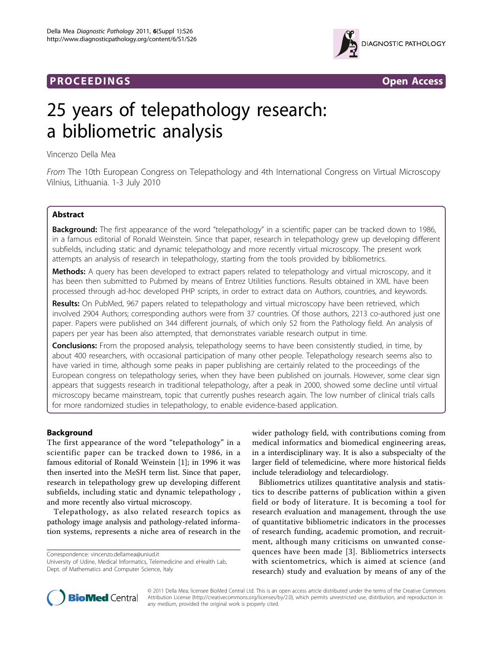# **PROCEEDINGS CONSUMING S** Open Access **CONSUMING S**



# 25 years of telepathology research: a bibliometric analysis

Vincenzo Della Mea

From The 10th European Congress on Telepathology and 4th International Congress on Virtual Microscopy Vilnius, Lithuania. 1-3 July 2010

# Abstract

**Background:** The first appearance of the word "telepathology" in a scientific paper can be tracked down to 1986, in a famous editorial of Ronald Weinstein. Since that paper, research in telepathology grew up developing different subfields, including static and dynamic telepathology and more recently virtual microscopy. The present work attempts an analysis of research in telepathology, starting from the tools provided by bibliometrics.

Methods: A query has been developed to extract papers related to telepathology and virtual microscopy, and it has been then submitted to Pubmed by means of Entrez Utilities functions. Results obtained in XML have been processed through ad-hoc developed PHP scripts, in order to extract data on Authors, countries, and keywords.

Results: On PubMed, 967 papers related to telepathology and virtual microscopy have been retrieved, which involved 2904 Authors; corresponding authors were from 37 countries. Of those authors, 2213 co-authored just one paper. Papers were published on 344 different journals, of which only 52 from the Pathology field. An analysis of papers per year has been also attempted, that demonstrates variable research output in time.

**Conclusions:** From the proposed analysis, telepathology seems to have been consistently studied, in time, by about 400 researchers, with occasional participation of many other people. Telepathology research seems also to have varied in time, although some peaks in paper publishing are certainly related to the proceedings of the European congress on telepathology series, when they have been published on journals. However, some clear sign appears that suggests research in traditional telepathology, after a peak in 2000, showed some decline until virtual microscopy became mainstream, topic that currently pushes research again. The low number of clinical trials calls for more randomized studies in telepathology, to enable evidence-based application.

# Background

The first appearance of the word "telepathology" in a scientific paper can be tracked down to 1986, in a famous editorial of Ronald Weinstein [\[1](#page-4-0)]; in 1996 it was then inserted into the MeSH term list. Since that paper, research in telepathology grew up developing different subfields, including static and dynamic telepathology , and more recently also virtual microscopy.

Telepathology, as also related research topics as pathology image analysis and pathology-related information systems, represents a niche area of research in the

Correspondence: [vincenzo.dellamea@uniud.it](mailto:vincenzo.dellamea@uniud.it)

University of Udine, Medical Informatics, Telemedicine and eHealth Lab, Dept. of Mathematics and Computer Science, Italy

wider pathology field, with contributions coming from medical informatics and biomedical engineering areas, in a interdisciplinary way. It is also a subspecialty of the larger field of telemedicine, where more historical fields include teleradiology and telecardiology.

Bibliometrics utilizes quantitative analysis and statistics to describe patterns of publication within a given field or body of literature. It is becoming a tool for research evaluation and management, through the use of quantitative bibliometric indicators in the processes of research funding, academic promotion, and recruitment, although many criticisms on unwanted consequences have been made [[3](#page-5-0)]. Bibliometrics intersects with scientometrics, which is aimed at science (and research) study and evaluation by means of any of the



© 2011 Della Mea; licensee BioMed Central Ltd. This is an open access article distributed under the terms of the Creative Commons Attribution License [\(http://creativecommons.org/licenses/by/2.0](http://creativecommons.org/licenses/by/2.0)), which permits unrestricted use, distribution, and reproduction in any medium, provided the original work is properly cited.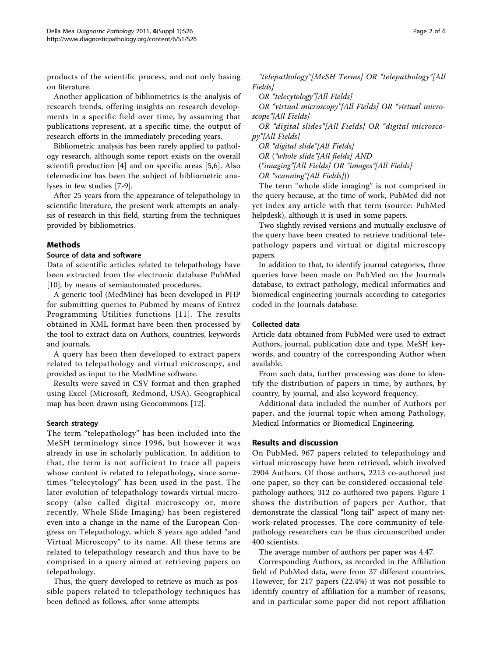products of the scientific process, and not only basing on literature.

Another application of bibliometrics is the analysis of research trends, offering insights on research developments in a specific field over time, by assuming that publications represent, at a specific time, the output of research efforts in the immediately preceding years.

Bibliometric analysis has been rarely applied to pathology research, although some report exists on the overall scientifi production [[4\]](#page-5-0) and on specific areas [[5,6](#page-5-0)]. Also telemedicine has been the subject of bibliometric analyses in few studies [[7-9\]](#page-5-0).

After 25 years from the appearance of telepathology in scientific literature, the present work attempts an analysis of research in this field, starting from the techniques provided by bibliometrics.

## Methods

### Source of data and software

Data of scientific articles related to telepathology have been extracted from the electronic database PubMed [[10\]](#page-5-0), by means of semiautomated procedures.

A generic tool (MedMine) has been developed in PHP for submitting queries to Pubmed by means of Entrez Programming Utilities functions [[11\]](#page-5-0). The results obtained in XML format have been then processed by the tool to extract data on Authors, countries, keywords and journals.

A query has been then developed to extract papers related to telepathology and virtual microscopy, and provided as input to the MedMine software.

Results were saved in CSV format and then graphed using Excel (Microsoft, Redmond, USA). Geographical map has been drawn using Geocommons [\[12](#page-5-0)].

## Search strategy

The term "telepathology" has been included into the MeSH terminology since 1996, but however it was already in use in scholarly publication. In addition to that, the term is not sufficient to trace all papers whose content is related to telepathology, since sometimes "telecytology" has been used in the past. The later evolution of telepathology towards virtual microscopy (also called digital microscopy or, more recently, Whole Slide Imaging) has been registered even into a change in the name of the European Congress on Telepathology, which 8 years ago added "and Virtual Microscopy" to its name. All these terms are related to telepathology research and thus have to be comprised in a query aimed at retrieving papers on telepathology.

Thus, the query developed to retrieve as much as possible papers related to telepathology techniques has been defined as follows, after some attempts:

"telepathology"[MeSH Terms] OR "telepathology"[All Fields]

OR "telecytology"[All Fields]

OR "virtual microscopy"[All Fields] OR "virtual microscope"[All Fields]

OR "digital slides"[All Fields] OR "digital microscopy"[All Fields]

OR "digital slide"[All Fields]

OR ("whole slide"[All fields] AND

("imaging"[All Fields] OR "images"[All Fields]

OR "scanning"[All Fields]))

The term "whole slide imaging" is not comprised in the query because, at the time of work, PubMed did not yet index any article with that term (source: PubMed helpdesk), although it is used in some papers.

Two slightly revised versions and mutually exclusive of the query have been created to retrieve traditional telepathology papers and virtual or digital microscopy papers.

In addition to that, to identify journal categories, three queries have been made on PubMed on the Journals database, to extract pathology, medical informatics and biomedical engineering journals according to categories coded in the Journals database.

## Collected data

Article data obtained from PubMed were used to extract Authors, journal, publication date and type, MeSH keywords, and country of the corresponding Author when available.

From such data, further processing was done to identify the distribution of papers in time, by authors, by country, by journal, and also keyword frequency.

Additional data included the number of Authors per paper, and the journal topic when among Pathology, Medical Informatics or Biomedical Engineering.

## Results and discussion

On PubMed, 967 papers related to telepathology and virtual microscopy have been retrieved, which involved 2904 Authors. Of those authors, 2213 co-authored just one paper, so they can be considered occasional telepathology authors; 312 co-authored two papers. Figure [1](#page-2-0) shows the distribution of papers per Author, that demonstrate the classical "long tail" aspect of many network-related processes. The core community of telepathology researchers can be thus circumscribed under 400 scientists.

The average number of authors per paper was 4.47.

Corresponding Authors, as recorded in the Affiliation field of PubMed data, were from 37 different countries. However, for 217 papers (22.4%) it was not possible to identify country of affiliation for a number of reasons, and in particular some paper did not report affiliation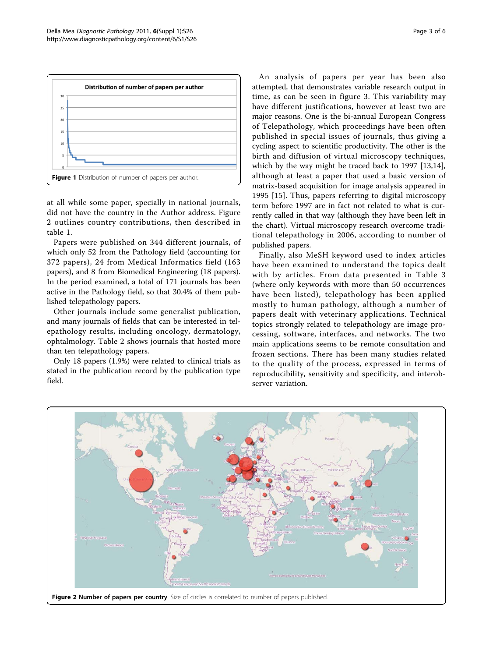<span id="page-2-0"></span>

at all while some paper, specially in national journals, did not have the country in the Author address. Figure 2 outlines country contributions, then described in table [1](#page-3-0).

Papers were published on 344 different journals, of which only 52 from the Pathology field (accounting for 372 papers), 24 from Medical Informatics field (163 papers), and 8 from Biomedical Engineering (18 papers). In the period examined, a total of 171 journals has been active in the Pathology field, so that 30.4% of them published telepathology papers.

Other journals include some generalist publication, and many journals of fields that can be interested in telepathology results, including oncology, dermatology, ophtalmology. Table [2](#page-3-0) shows journals that hosted more than ten telepathology papers.

Only 18 papers (1.9%) were related to clinical trials as stated in the publication record by the publication type field.

An analysis of papers per year has been also attempted, that demonstrates variable research output in time, as can be seen in figure [3.](#page-3-0) This variability may have different justifications, however at least two are major reasons. One is the bi-annual European Congress of Telepathology, which proceedings have been often published in special issues of journals, thus giving a cycling aspect to scientific productivity. The other is the birth and diffusion of virtual microscopy techniques, which by the way might be traced back to 1997 [\[13,14](#page-5-0)], although at least a paper that used a basic version of matrix-based acquisition for image analysis appeared in 1995 [[15\]](#page-5-0). Thus, papers referring to digital microscopy term before 1997 are in fact not related to what is currently called in that way (although they have been left in the chart). Virtual microscopy research overcome traditional telepathology in 2006, according to number of published papers.

Finally, also MeSH keyword used to index articles have been examined to understand the topics dealt with by articles. From data presented in Table [3](#page-4-0) (where only keywords with more than 50 occurrences have been listed), telepathology has been applied mostly to human pathology, although a number of papers dealt with veterinary applications. Technical topics strongly related to telepathology are image processing, software, interfaces, and networks. The two main applications seems to be remote consultation and frozen sections. There has been many studies related to the quality of the process, expressed in terms of reproducibility, sensitivity and specificity, and interobserver variation.

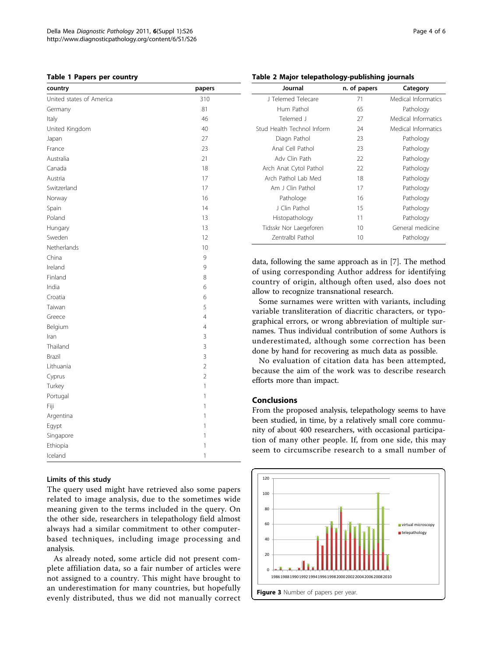#### <span id="page-3-0"></span>Table 1 Papers per country

| country                  | papers         |
|--------------------------|----------------|
| United states of America | 310            |
| Germany                  | 81             |
| Italy                    | 46             |
| United Kingdom           | 40             |
| Japan                    | 27             |
| France                   | 23             |
| Australia                | 21             |
| Canada                   | 18             |
| Austria                  | 17             |
| Switzerland              | 17             |
| Norway                   | 16             |
| Spain                    | 14             |
| Poland                   | 13             |
| Hungary                  | 13             |
| Sweden                   | 12             |
| Netherlands              | 10             |
| China                    | 9              |
| Ireland                  | 9              |
| Finland                  | 8              |
| India                    | 6              |
| Croatia                  | 6              |
| Taiwan                   | 5              |
| Greece                   | $\overline{4}$ |
| Belgium                  | $\overline{4}$ |
| Iran                     | 3              |
| Thailand                 | 3              |
| <b>Brazil</b>            | 3              |
| Lithuania                | $\overline{2}$ |
| Cyprus                   | $\overline{2}$ |
| Turkey                   | $\mathbf{1}$   |
| Portugal                 | 1              |
| Fiji                     | 1              |
| Argentina                | 1              |
| Egypt                    | 1              |
| Singapore                | 1              |
| Ethiopia                 | 1              |
| Iceland                  | 1              |

#### Limits of this study

The query used might have retrieved also some papers related to image analysis, due to the sometimes wide meaning given to the terms included in the query. On the other side, researchers in telepathology field almost always had a similar commitment to other computerbased techniques, including image processing and analysis.

As already noted, some article did not present complete affiliation data, so a fair number of articles were not assigned to a country. This might have brought to an underestimation for many countries, but hopefully evenly distributed, thus we did not manually correct

# Table 2 Major telepathology-publishing journals

| Journal                    | n. of papers | Category            |
|----------------------------|--------------|---------------------|
| J Telemed Telecare         | 71           | Medical Informatics |
| Hum Pathol                 | 65           | Pathology           |
| Telemed J                  | 27           | Medical Informatics |
| Stud Health Technol Inform | 24           | Medical Informatics |
| Diagn Pathol               | 23           | Pathology           |
| Anal Cell Pathol           | 23           | Pathology           |
| Adv Clin Path              | 22           | Pathology           |
| Arch Anat Cytol Pathol     | 22           | Pathology           |
| Arch Pathol Lab Med        | 18           | Pathology           |
| Am J Clin Pathol           | 17           | Pathology           |
| Pathologe                  | 16           | Pathology           |
| J Clin Pathol              | 15           | Pathology           |
| Histopathology             | 11           | Pathology           |
| Tidsskr Nor Laegeforen     | $10 \,$      | General medicine    |
| <b>Zentralbl Pathol</b>    | $10 \,$      | Pathology           |

data, following the same approach as in [[7](#page-5-0)]. The method of using corresponding Author address for identifying country of origin, although often used, also does not allow to recognize transnational research.

Some surnames were written with variants, including variable transliteration of diacritic characters, or typographical errors, or wrong abbreviation of multiple surnames. Thus individual contribution of some Authors is underestimated, although some correction has been done by hand for recovering as much data as possible.

No evaluation of citation data has been attempted, because the aim of the work was to describe research efforts more than impact.

#### Conclusions

From the proposed analysis, telepathology seems to have been studied, in time, by a relatively small core community of about 400 researchers, with occasional participation of many other people. If, from one side, this may seem to circumscribe research to a small number of

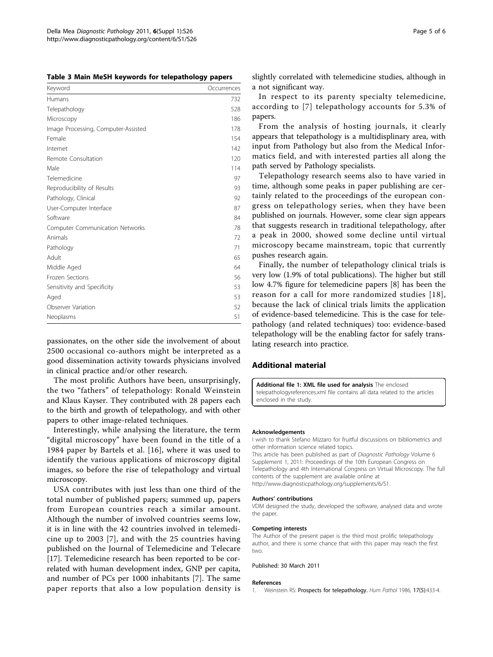<span id="page-4-0"></span>Table 3 Main MeSH keywords for telepathology papers

| Keyword                             | Occurrences |
|-------------------------------------|-------------|
| Humans                              | 732         |
| Telepathology                       | 528         |
| Microscopy                          | 186         |
| Image Processing, Computer-Assisted | 178         |
| Female                              | 154         |
| Internet                            | 142         |
| Remote Consultation                 | 120         |
| Male                                | 114         |
| Telemedicine                        | 97          |
| Reproducibility of Results          | 93          |
| Pathology, Clinical                 | 92          |
| User-Computer Interface             | 87          |
| Software                            | 84          |
| Computer Communication Networks     | 78          |
| Animals                             | 72          |
| Pathology                           | 71          |
| Adult                               | 65          |
| Middle Aged                         | 64          |
| Frozen Sections                     | 56          |
| Sensitivity and Specificity         | 53          |
| Aged                                | 53          |
| Observer Variation                  | 52          |
| Neoplasms                           | 51          |

passionates, on the other side the involvement of about 2500 occasional co-authors might be interpreted as a good dissemination activity towards physicians involved in clinical practice and/or other research.

The most prolific Authors have been, unsurprisingly, the two "fathers" of telepathology: Ronald Weinstein and Klaus Kayser. They contributed with 28 papers each to the birth and growth of telepathology, and with other papers to other image-related techniques.

Interestingly, while analysing the literature, the term "digital microscopy" have been found in the title of a 1984 paper by Bartels et al. [[16](#page-5-0)], where it was used to identify the various applications of microscopy digital images, so before the rise of telepathology and virtual microscopy.

USA contributes with just less than one third of the total number of published papers; summed up, papers from European countries reach a similar amount. Although the number of involved countries seems low, it is in line with the 42 countries involved in telemedicine up to 2003 [[7](#page-5-0)], and with the 25 countries having published on the Journal of Telemedicine and Telecare [[17\]](#page-5-0). Telemedicine research has been reported to be correlated with human development index, GNP per capita, and number of PCs per 1000 inhabitants [[7\]](#page-5-0). The same paper reports that also a low population density is slightly correlated with telemedicine studies, although in a not significant way.

In respect to its parenty specialty telemedicine, according to [[7](#page-5-0)] telepathology accounts for 5.3% of papers.

From the analysis of hosting journals, it clearly appears that telepathology is a multidisplinary area, with input from Pathology but also from the Medical Informatics field, and with interested parties all along the path served by Pathology specialists.

Telepathology research seems also to have varied in time, although some peaks in paper publishing are certainly related to the proceedings of the european congress on telepathology series, when they have been published on journals. However, some clear sign appears that suggests research in traditional telepathology, after a peak in 2000, showed some decline until virtual microscopy became mainstream, topic that currently pushes research again.

Finally, the number of telepathology clinical trials is very low (1.9% of total publications). The higher but still low 4.7% figure for telemedicine papers [[8\]](#page-5-0) has been the reason for a call for more randomized studies [[18\]](#page-5-0), because the lack of clinical trials limits the application of evidence-based telemedicine. This is the case for telepathology (and related techniques) too: evidence-based telepathology will be the enabling factor for safely translating research into practice.

#### Additional material

[Additional file 1: X](http://www.biomedcentral.com/content/supplementary/1746-1596-6-S1-S26-S1.xml)ML file used for analysis The enclosed telepathologyreferences.xml file contains all data related to the articles enclosed in the study.

#### Acknowledgements

I wish to thank Stefano Mizzaro for fruitful discussions on bibliometrics and other information science related topics. This article has been published as part of Diagnostic Pathology Volume 6 Supplement 1, 2011: Proceedings of the 10th European Congress on Telepathology and 4th International Congress on Virtual Microscopy. The full contents of the supplement are available online at

<http://www.diagnosticpathology.org/supplements/6/S1>.

#### Authors' contributions

VDM designed the study, developed the software, analysed data and wrote the paper.

#### Competing interests

The Author of the present paper is the third most prolific telepathology author, and there is some chance that with this paper may reach the first two.

Published: 30 March 2011

#### References

1. Weinstein RS: [Prospects for telepathology.](http://www.ncbi.nlm.nih.gov/pubmed/3516858?dopt=Abstract) Hum Pathol 1986, 17(5):433-4.